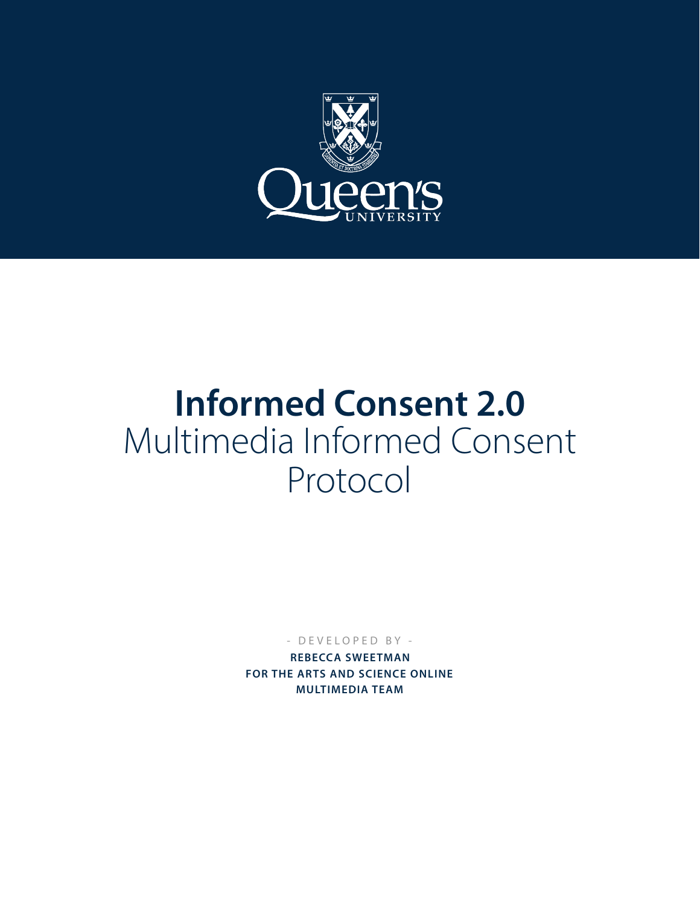

# **Informed Consent 2.0**  Multimedia Informed Consent Protocol

- DEVELOPED BY -

**REBECCA SWEETMAN FOR THE ARTS AND SCIENCE ONLINE MULTIMEDIA TEAM**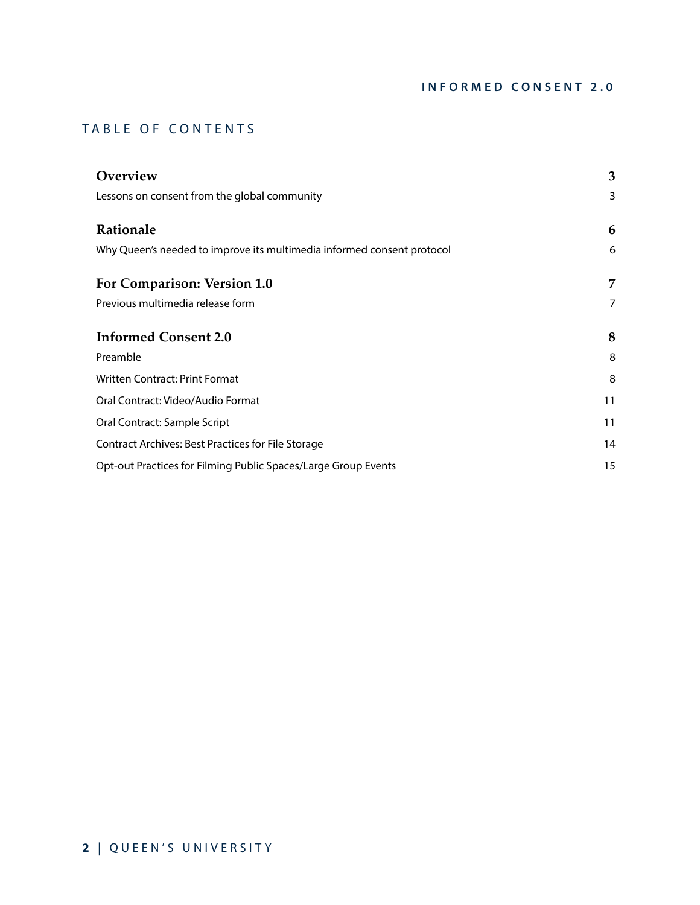# TABLE OF CONTENTS

| Overview                                                               | 3  |
|------------------------------------------------------------------------|----|
| Lessons on consent from the global community                           | 3  |
| Rationale                                                              | 6  |
| Why Queen's needed to improve its multimedia informed consent protocol | 6  |
| For Comparison: Version 1.0                                            | 7  |
| Previous multimedia release form                                       | 7  |
| <b>Informed Consent 2.0</b>                                            | 8  |
| Preamble                                                               | 8  |
| Written Contract: Print Format                                         | 8  |
| Oral Contract: Video/Audio Format                                      | 11 |
| Oral Contract: Sample Script                                           | 11 |
| Contract Archives: Best Practices for File Storage                     | 14 |
| Opt-out Practices for Filming Public Spaces/Large Group Events         | 15 |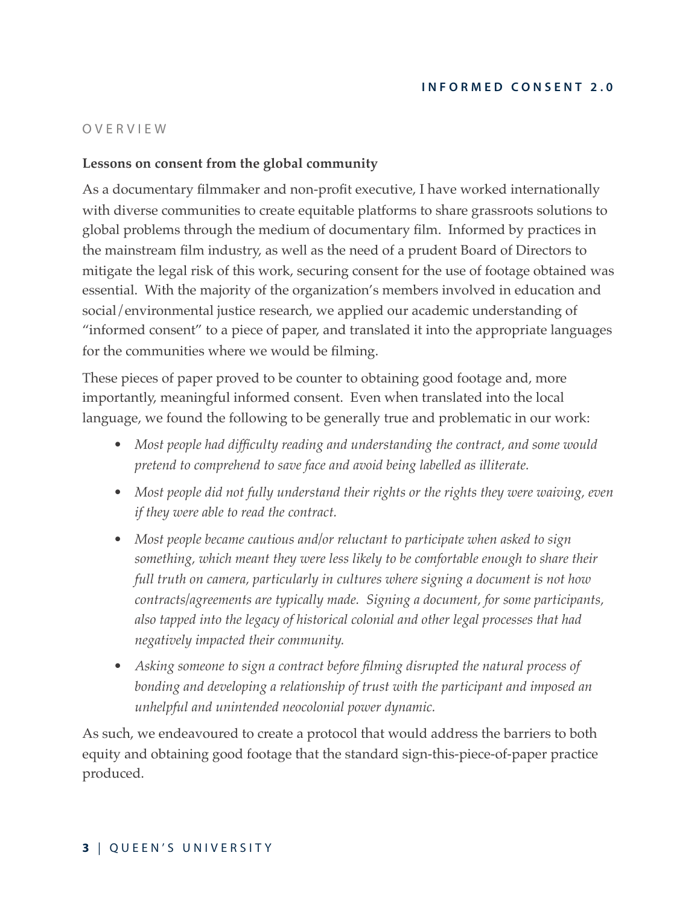# <span id="page-2-0"></span>OVERVIEW

# <span id="page-2-1"></span>**Lessons on consent from the global community**

As a documentary filmmaker and non-profit executive, I have worked internationally with diverse communities to create equitable platforms to share grassroots solutions to global problems through the medium of documentary film. Informed by practices in the mainstream film industry, as well as the need of a prudent Board of Directors to mitigate the legal risk of this work, securing consent for the use of footage obtained was essential. With the majority of the organization's members involved in education and social/environmental justice research, we applied our academic understanding of "informed consent" to a piece of paper, and translated it into the appropriate languages for the communities where we would be filming.

These pieces of paper proved to be counter to obtaining good footage and, more importantly, meaningful informed consent. Even when translated into the local language, we found the following to be generally true and problematic in our work:

- *• Most people had difficulty reading and understanding the contract, and some would pretend to comprehend to save face and avoid being labelled as illiterate.*
- *• Most people did not fully understand their rights or the rights they were waiving, even if they were able to read the contract.*
- *• Most people became cautious and/or reluctant to participate when asked to sign something, which meant they were less likely to be comfortable enough to share their full truth on camera, particularly in cultures where signing a document is not how contracts/agreements are typically made. Signing a document, for some participants, also tapped into the legacy of historical colonial and other legal processes that had negatively impacted their community.*
- *• Asking someone to sign a contract before filming disrupted the natural process of bonding and developing a relationship of trust with the participant and imposed an unhelpful and unintended neocolonial power dynamic.*

As such, we endeavoured to create a protocol that would address the barriers to both equity and obtaining good footage that the standard sign-this-piece-of-paper practice produced.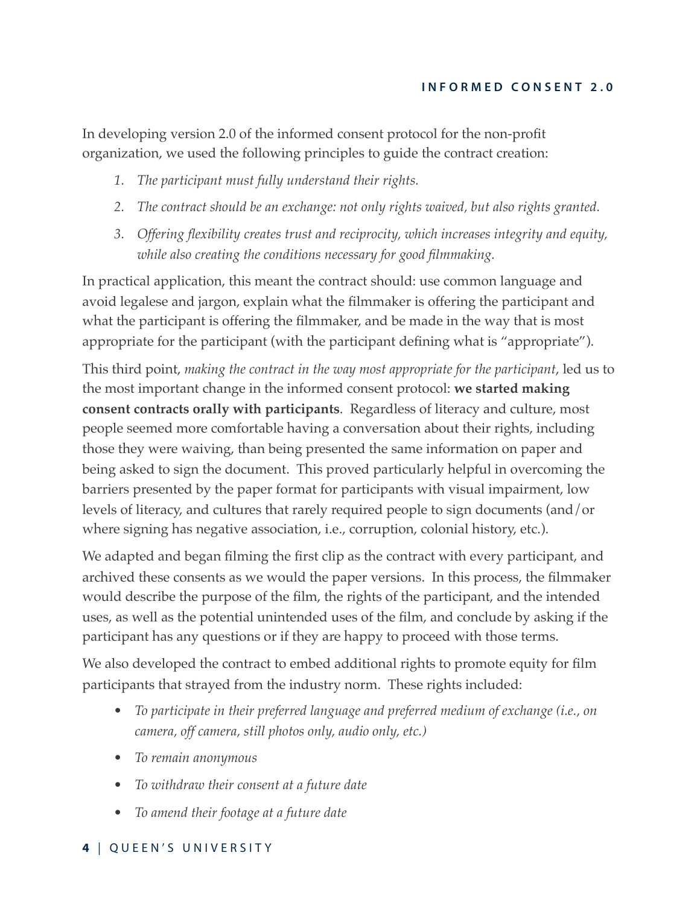In developing version 2.0 of the informed consent protocol for the non-profit organization, we used the following principles to guide the contract creation:

- *1. The participant must fully understand their rights.*
- *2. The contract should be an exchange: not only rights waived, but also rights granted.*
- *3. Offering flexibility creates trust and reciprocity, which increases integrity and equity, while also creating the conditions necessary for good filmmaking.*

In practical application, this meant the contract should: use common language and avoid legalese and jargon, explain what the filmmaker is offering the participant and what the participant is offering the filmmaker, and be made in the way that is most appropriate for the participant (with the participant defining what is "appropriate").

This third point, *making the contract in the way most appropriate for the participant*, led us to the most important change in the informed consent protocol: **we started making consent contracts orally with participants**. Regardless of literacy and culture, most people seemed more comfortable having a conversation about their rights, including those they were waiving, than being presented the same information on paper and being asked to sign the document. This proved particularly helpful in overcoming the barriers presented by the paper format for participants with visual impairment, low levels of literacy, and cultures that rarely required people to sign documents (and/or where signing has negative association, i.e., corruption, colonial history, etc.).

We adapted and began filming the first clip as the contract with every participant, and archived these consents as we would the paper versions. In this process, the filmmaker would describe the purpose of the film, the rights of the participant, and the intended uses, as well as the potential unintended uses of the film, and conclude by asking if the participant has any questions or if they are happy to proceed with those terms.

We also developed the contract to embed additional rights to promote equity for film participants that strayed from the industry norm. These rights included:

- *• To participate in their preferred language and preferred medium of exchange (i.e., on camera, off camera, still photos only, audio only, etc.)*
- *• To remain anonymous*
- *• To withdraw their consent at a future date*
- *• To amend their footage at a future date*

# **4** | QUEEN'S UNIVERSITY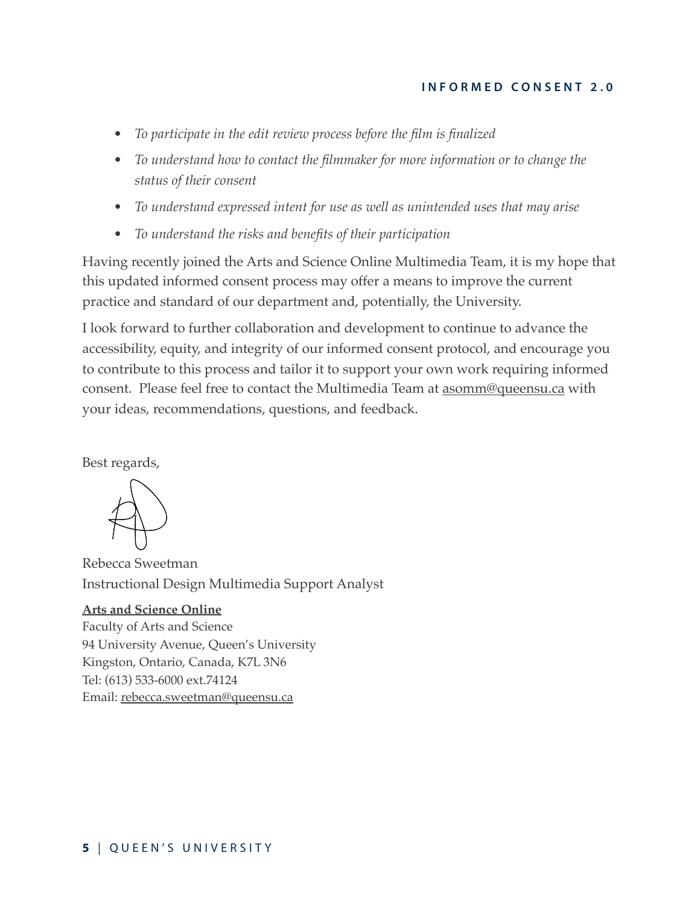- *• To participate in the edit review process before the film is finalized*
- *• To understand how to contact the filmmaker for more information or to change the status of their consent*
- *• To understand expressed intent for use as well as unintended uses that may arise*
- *• To understand the risks and benefits of their participation*

Having recently joined the Arts and Science Online Multimedia Team, it is my hope that this updated informed consent process may offer a means to improve the current practice and standard of our department and, potentially, the University.

I look forward to further collaboration and development to continue to advance the accessibility, equity, and integrity of our informed consent protocol, and encourage you to contribute to this process and tailor it to support your own work requiring informed consent. Please feel free to contact the Multimedia Team at **asomm@queensu.ca** with your ideas, recommendations, questions, and feedback.

Best regards,

Rebecca Sweetman Instructional Design Multimedia Support Analyst

# **[Arts and Science Online](http://www.queensu.ca/artsci_online)**

Faculty of Arts and Science 94 University Avenue, Queen's University Kingston, Ontario, Canada, K7L 3N6 Tel: (613) 533-6000 ext.74124 Email: [rebecca.sweetman@queensu.ca](mailto:rls16@queensu.ca)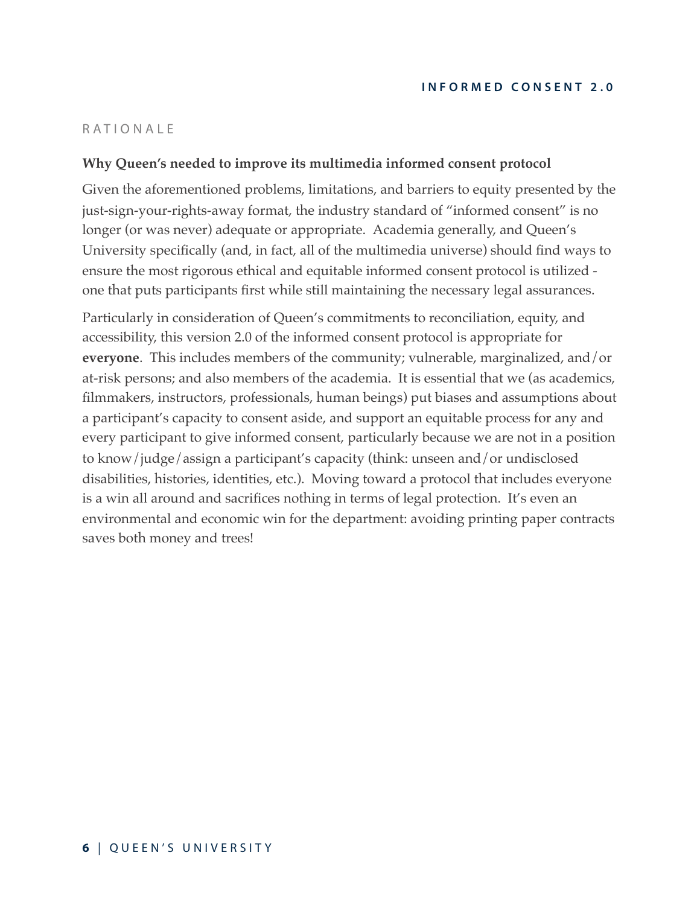# <span id="page-5-0"></span>RATIONALE

# <span id="page-5-1"></span>**Why Queen's needed to improve its multimedia informed consent protocol**

Given the aforementioned problems, limitations, and barriers to equity presented by the just-sign-your-rights-away format, the industry standard of "informed consent" is no longer (or was never) adequate or appropriate. Academia generally, and Queen's University specifically (and, in fact, all of the multimedia universe) should find ways to ensure the most rigorous ethical and equitable informed consent protocol is utilized one that puts participants first while still maintaining the necessary legal assurances.

Particularly in consideration of Queen's commitments to reconciliation, equity, and accessibility, this version 2.0 of the informed consent protocol is appropriate for **everyone**. This includes members of the community; vulnerable, marginalized, and/or at-risk persons; and also members of the academia. It is essential that we (as academics, filmmakers, instructors, professionals, human beings) put biases and assumptions about a participant's capacity to consent aside, and support an equitable process for any and every participant to give informed consent, particularly because we are not in a position to know/judge/assign a participant's capacity (think: unseen and/or undisclosed disabilities, histories, identities, etc.). Moving toward a protocol that includes everyone is a win all around and sacrifices nothing in terms of legal protection. It's even an environmental and economic win for the department: avoiding printing paper contracts saves both money and trees!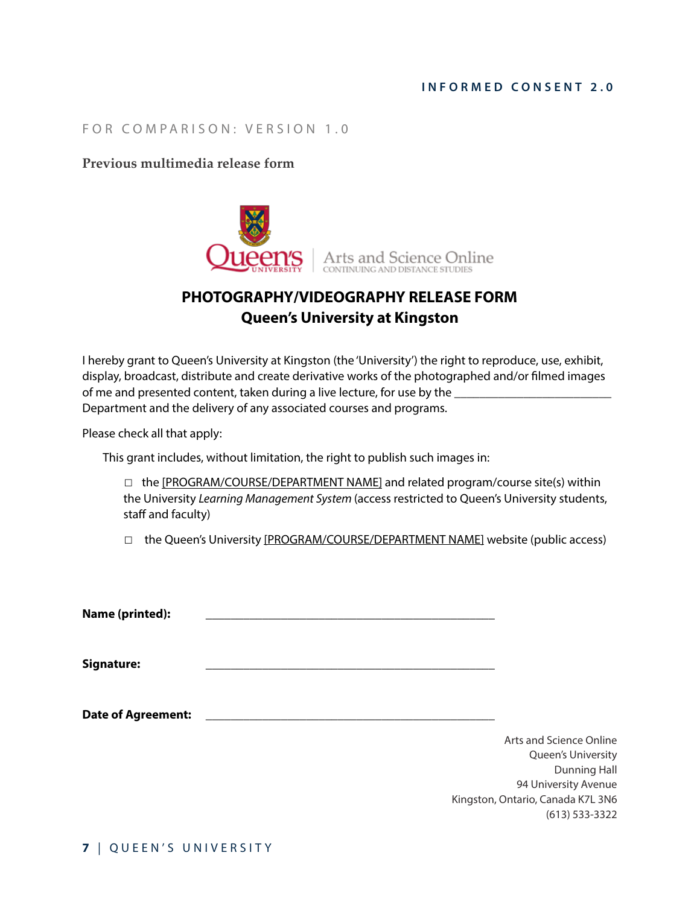# <span id="page-6-0"></span>FOR COMPARISON: VERSION 1.0

#### <span id="page-6-1"></span>**Previous multimedia release form**



# **PHOTOGRAPHY/VIDEOGRAPHY RELEASE FORM Queen's University at Kingston**

I hereby grant to Queen's University at Kingston (the 'University') the right to reproduce, use, exhibit, display, broadcast, distribute and create derivative works of the photographed and/or flmed images of me and presented content, taken during a live lecture, for use by the Department and the delivery of any associated courses and programs.

Please check all that apply:

This grant includes, without limitation, the right to publish such images in:

□ the [PROGRAM/COURSE/DEPARTMENT NAME] and related program/course site(s) within the University *Learning Management System* (access restricted to Queen's University students, staff and faculty)

□ the Queen's University [PROGRAM/COURSE/DEPARTMENT NAME] website (public access)

Name (printed):

Signature:

Date of Agreement:

Arts and Science Online Queen's University Dunning Hall 94 University Avenue Kingston, Ontario, Canada K7L 3N6 (613) 533-3322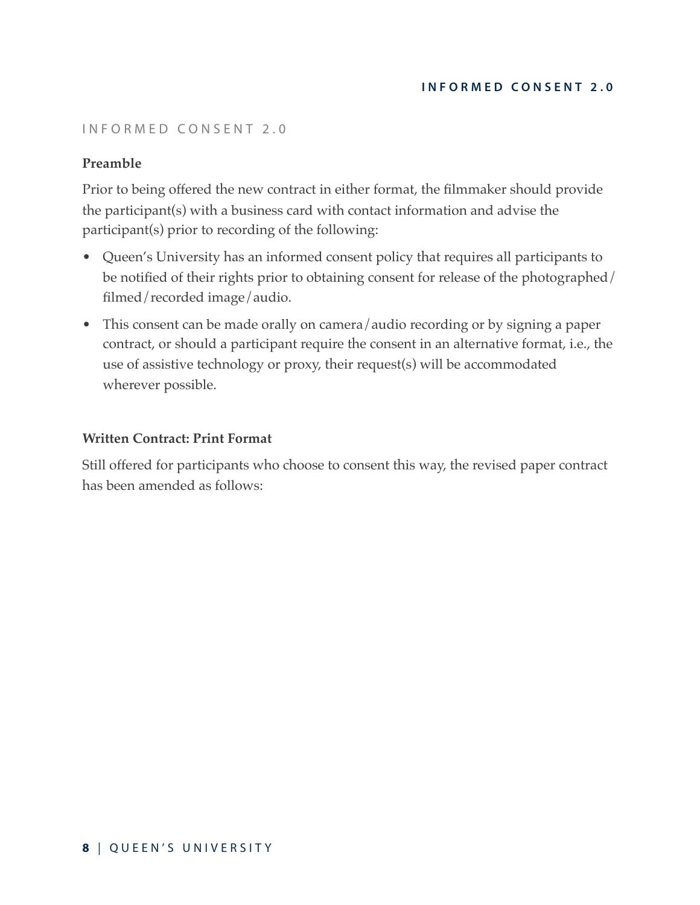# <span id="page-7-0"></span>INFORMED CONSENT 2.0

# <span id="page-7-1"></span>**Preamble**

Prior to being offered the new contract in either format, the filmmaker should provide the participant(s) with a business card with contact information and advise the participant(s) prior to recording of the following:

- Queen's University has an informed consent policy that requires all participants to be notified of their rights prior to obtaining consent for release of the photographed/ filmed/recorded image/audio.
- This consent can be made orally on camera/audio recording or by signing a paper contract, or should a participant require the consent in an alternative format, i.e., the use of assistive technology or proxy, their request(s) will be accommodated wherever possible.

#### <span id="page-7-2"></span>**Written Contract: Print Format**

Still offered for participants who choose to consent this way, the revised paper contract has been amended as follows: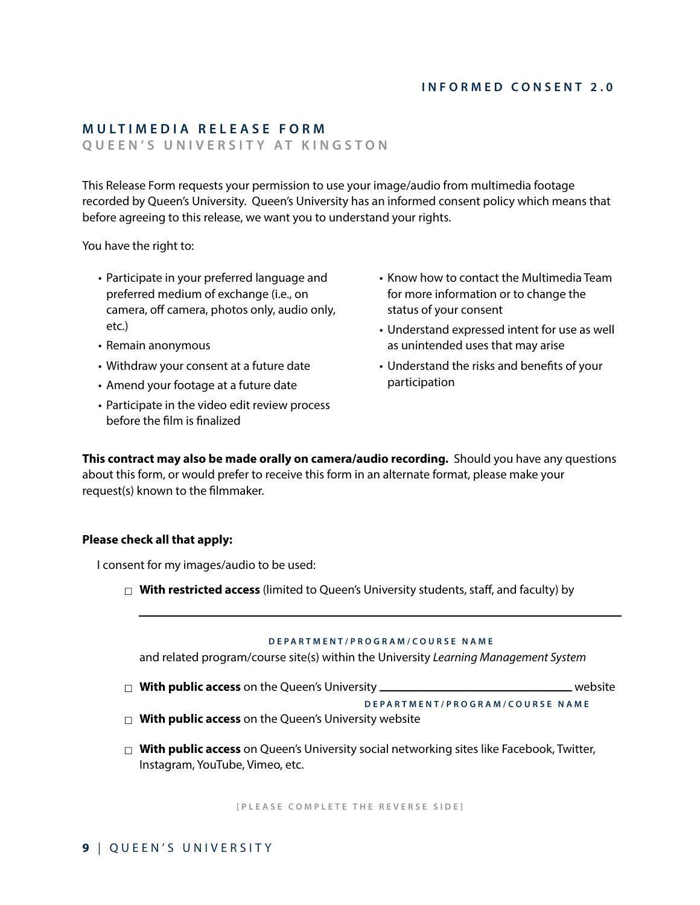# **MULTIMEDIA RELEASE FORM**

**QUEEN'S UNIVERSITY AT KINGSTON** 

This Release Form requests your permission to use your image/audio from multimedia footage recorded by Queen's University. Queen's University has an informed consent policy which means that before agreeing to this release, we want you to understand your rights.

You have the right to:

- Participate in your preferred language and preferred medium of exchange (i.e., on camera, off camera, photos only, audio only, etc.)
- Remain anonymous
- Withdraw your consent at a future date
- Amend your footage at a future date
- Participate in the video edit review process before the flm is fnalized
- Know how to contact the Multimedia Team for more information or to change the status of your consent
- Understand expressed intent for use as well as unintended uses that may arise
- Understand the risks and benefts of your participation

**This contract may also be made orally on camera/audio recording.** Should you have any questions about this form, or would prefer to receive this form in an alternate format, please make your request(s) known to the flmmaker.

#### **Please check all that apply:**

I consent for my images/audio to be used:

☐ **With restricted access** (limited to Queen's University students, staff, and faculty) by

#### **DEPARTMENT/PROGRAM/COURSE NAME**

and related program/course site(s) within the University *Learning Management System*

☐ **With public access** on the Queen's University website

**DEPARTMENT/PROGRAM/COURSE NAME**

- □ With public access on the Queen's University website
- □ **With public access** on Queen's University social networking sites like Facebook, Twitter, Instagram, YouTube, Vimeo, etc.

**[PLEASE COMPLETE THE REVERSE SIDE]**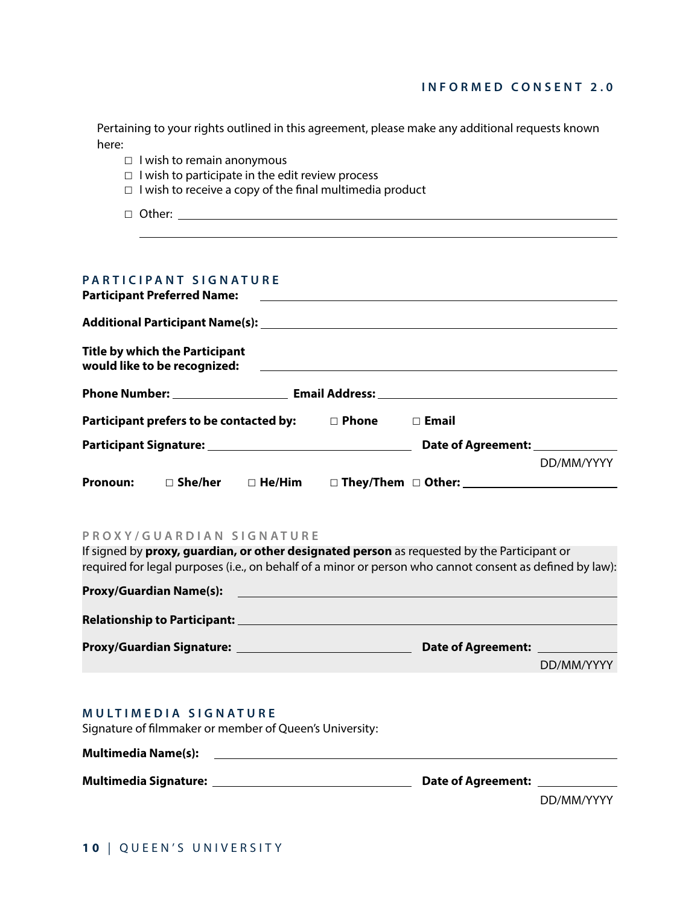| Pertaining to your rights outlined in this agreement, please make any additional requests known |  |
|-------------------------------------------------------------------------------------------------|--|
| here:                                                                                           |  |

- ☐ I wish to remain anonymous
- $\Box$  I wish to participate in the edit review process
- □ I wish to receive a copy of the final multimedia product
- □ Other: \_\_\_\_\_\_

 $\overline{a}$ 

#### **PARTICIPANT SIGNATURE**

|                                         | <b>Participant Preferred Name:</b>                                    |               |              | <u> 1989 - Johann Harry Harry Harry Harry Harry Harry Harry Harry Harry Harry Harry Harry Harry Harry Harry Harry</u>                                                                                                                |            |
|-----------------------------------------|-----------------------------------------------------------------------|---------------|--------------|--------------------------------------------------------------------------------------------------------------------------------------------------------------------------------------------------------------------------------------|------------|
|                                         |                                                                       |               |              |                                                                                                                                                                                                                                      |            |
|                                         | <b>Title by which the Participant</b><br>would like to be recognized: |               |              | <u> 1989 - Johann Harry Harry Harry Harry Harry Harry Harry Harry Harry Harry Harry Harry Harry Harry Harry Harry Harry Harry Harry Harry Harry Harry Harry Harry Harry Harry Harry Harry Harry Harry Harry Harry Harry Harry Ha</u> |            |
|                                         |                                                                       |               |              |                                                                                                                                                                                                                                      |            |
| Participant prefers to be contacted by: |                                                                       | $\Box$ Phone  | $\Box$ Email |                                                                                                                                                                                                                                      |            |
|                                         |                                                                       |               |              | Date of Agreement: <u>New York:</u>                                                                                                                                                                                                  |            |
|                                         |                                                                       |               |              |                                                                                                                                                                                                                                      | DD/MM/YYYY |
| <b>Pronoun:</b>                         | $\square$ She/her                                                     | $\Box$ He/Him |              |                                                                                                                                                                                                                                      |            |

#### **PROXY/GUARDIAN SIGNATURE**

If signed by **proxy, guardian, or other designated person** as requested by the Participant or required for legal purposes (i.e., on behalf of a minor or person who cannot consent as defned by law):

| <b>Proxy/Guardian Name(s):</b>      |                           |            |
|-------------------------------------|---------------------------|------------|
| <b>Relationship to Participant:</b> |                           |            |
| <b>Proxy/Guardian Signature:</b>    | <b>Date of Agreement:</b> |            |
|                                     |                           | DD/MM/YYYY |

#### **MULTIMEDIA SIGNATURE**

**Multimedia Name(s):** 

Signature of flmmaker or member of Queen's University:

| Multimedia Name(s):          |                           |
|------------------------------|---------------------------|
| <b>Multimedia Signature:</b> | <b>Date of Agreement:</b> |

DD/MM/YYYY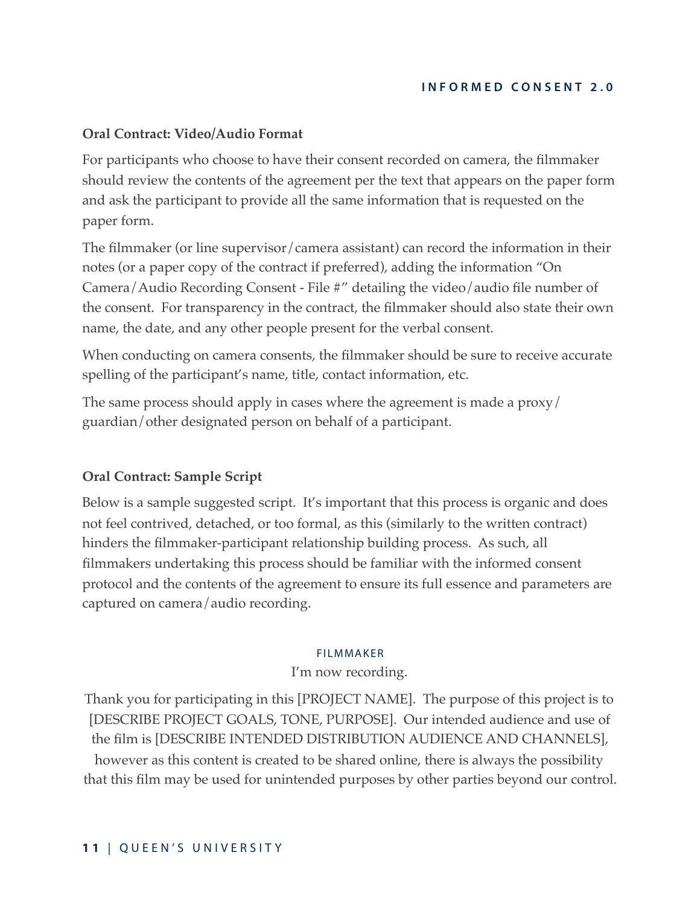# <span id="page-10-0"></span>**Oral Contract: Video/Audio Format**

For participants who choose to have their consent recorded on camera, the filmmaker should review the contents of the agreement per the text that appears on the paper form and ask the participant to provide all the same information that is requested on the paper form.

The filmmaker (or line supervisor/camera assistant) can record the information in their notes (or a paper copy of the contract if preferred), adding the information "On Camera/Audio Recording Consent - File #" detailing the video/audio file number of the consent. For transparency in the contract, the filmmaker should also state their own name, the date, and any other people present for the verbal consent.

When conducting on camera consents, the filmmaker should be sure to receive accurate spelling of the participant's name, title, contact information, etc.

The same process should apply in cases where the agreement is made a proxy/ guardian/other designated person on behalf of a participant.

# <span id="page-10-1"></span>**Oral Contract: Sample Script**

Below is a sample suggested script. It's important that this process is organic and does not feel contrived, detached, or too formal, as this (similarly to the written contract) hinders the filmmaker-participant relationship building process. As such, all filmmakers undertaking this process should be familiar with the informed consent protocol and the contents of the agreement to ensure its full essence and parameters are captured on camera/audio recording.

#### FILMMAKER

#### I'm now recording.

Thank you for participating in this [PROJECT NAME]. The purpose of this project is to [DESCRIBE PROJECT GOALS, TONE, PURPOSE]. Our intended audience and use of the film is [DESCRIBE INTENDED DISTRIBUTION AUDIENCE AND CHANNELS], however as this content is created to be shared online, there is always the possibility that this film may be used for unintended purposes by other parties beyond our control.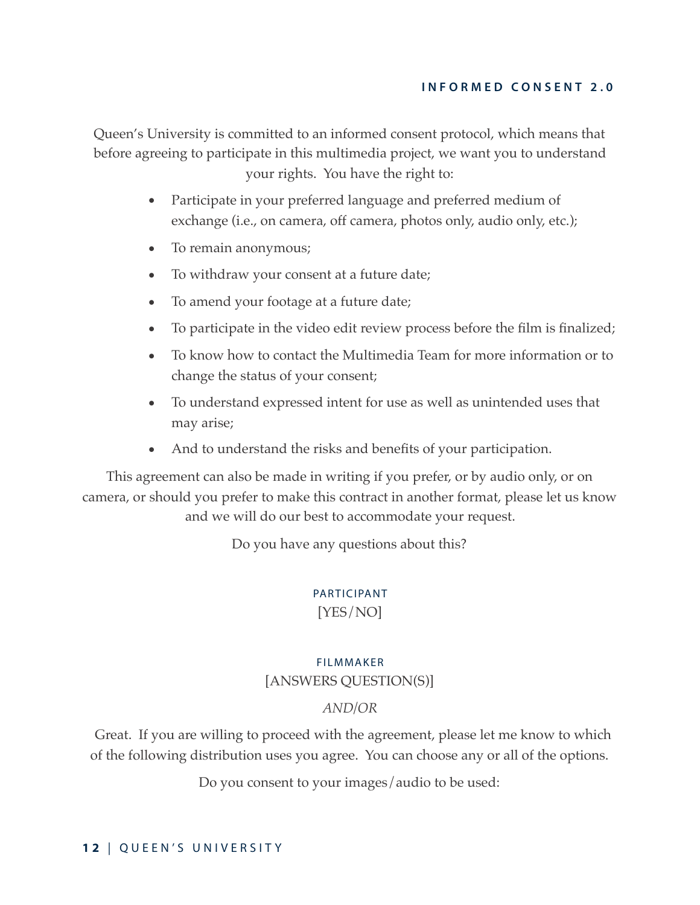Queen's University is committed to an informed consent protocol, which means that before agreeing to participate in this multimedia project, we want you to understand your rights. You have the right to:

- Participate in your preferred language and preferred medium of exchange (i.e., on camera, off camera, photos only, audio only, etc.);
- To remain anonymous;
- To withdraw your consent at a future date;
- To amend your footage at a future date;
- To participate in the video edit review process before the film is finalized;
- To know how to contact the Multimedia Team for more information or to change the status of your consent;
- To understand expressed intent for use as well as unintended uses that may arise;
- And to understand the risks and benefits of your participation.

This agreement can also be made in writing if you prefer, or by audio only, or on camera, or should you prefer to make this contract in another format, please let us know and we will do our best to accommodate your request.

Do you have any questions about this?

# PARTICIPANT

[YES/NO]

# FILMMAKER [ANSWERS QUESTION(S)]

# *AND/OR*

 Great. If you are willing to proceed with the agreement, please let me know to which of the following distribution uses you agree. You can choose any or all of the options.

Do you consent to your images/audio to be used: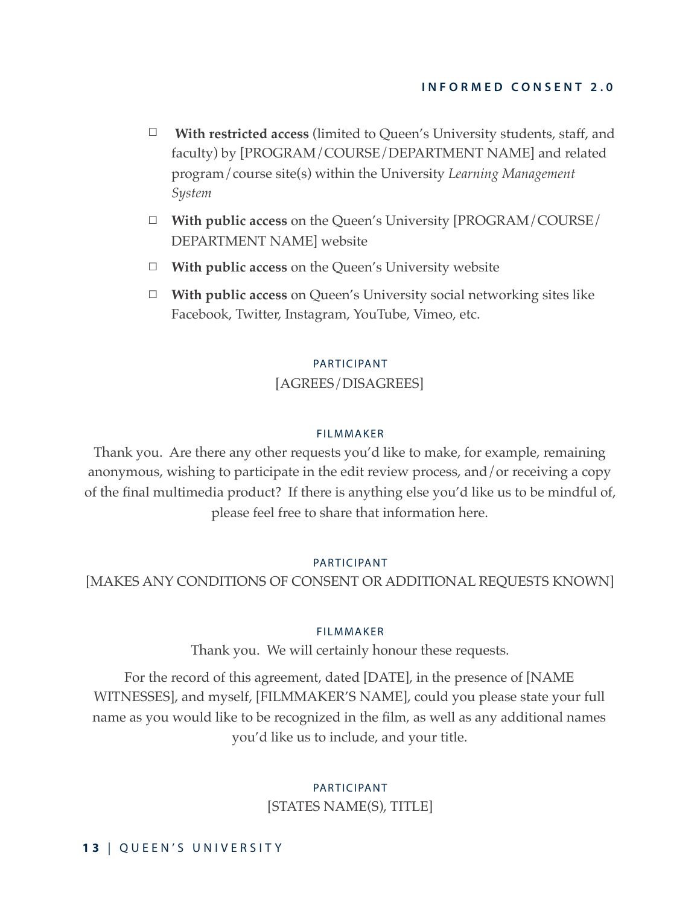- ☐ **With restricted access** (limited to Queen's University students, staff, and faculty) by [PROGRAM/COURSE/DEPARTMENT NAME] and related program/course site(s) within the University *Learning Management System*
- ☐ **With public access** on the Queen's University [PROGRAM/COURSE/ DEPARTMENT NAME] website
- ☐ **With public access** on the Queen's University website
- ☐ **With public access** on Queen's University social networking sites like Facebook, Twitter, Instagram, YouTube, Vimeo, etc.

#### PARTICIPANT

# [AGREES/DISAGREES]

#### FILMMAKER

Thank you. Are there any other requests you'd like to make, for example, remaining anonymous, wishing to participate in the edit review process, and/or receiving a copy of the final multimedia product? If there is anything else you'd like us to be mindful of, please feel free to share that information here.

#### PARTICIPANT

[MAKES ANY CONDITIONS OF CONSENT OR ADDITIONAL REQUESTS KNOWN]

#### FILMMAKER

Thank you. We will certainly honour these requests.

For the record of this agreement, dated [DATE], in the presence of [NAME WITNESSES], and myself, [FILMMAKER'S NAME], could you please state your full name as you would like to be recognized in the film, as well as any additional names you'd like us to include, and your title.

# PARTICIPANT

[STATES NAME(S), TITLE]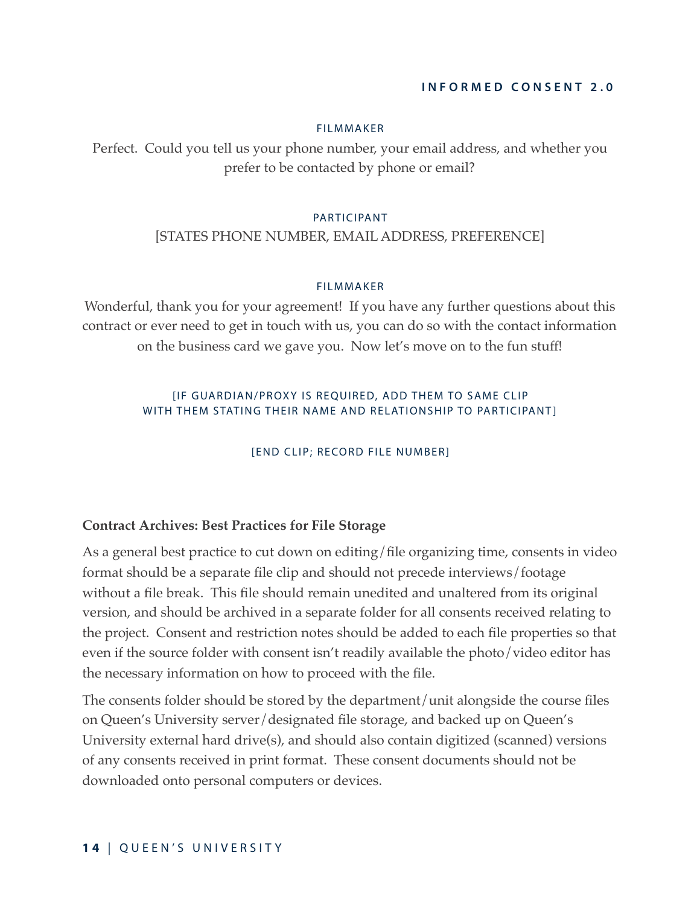#### FILMMAKER

Perfect. Could you tell us your phone number, your email address, and whether you prefer to be contacted by phone or email?

#### PARTICIPANT

#### [STATES PHONE NUMBER, EMAIL ADDRESS, PREFERENCE]

#### FILMMAKER

Wonderful, thank you for your agreement! If you have any further questions about this contract or ever need to get in touch with us, you can do so with the contact information on the business card we gave you. Now let's move on to the fun stuff!

# [IF GUARDIAN/PROXY IS REQUIRED, ADD THEM TO SAME CLIP WITH THEM STATING THEIR NAME AND RELATIONSHIP TO PARTICIPANT]

[END CLIP; RECORD FILE NUMBER]

#### <span id="page-13-0"></span>**Contract Archives: Best Practices for File Storage**

As a general best practice to cut down on editing/file organizing time, consents in video format should be a separate file clip and should not precede interviews/footage without a file break. This file should remain unedited and unaltered from its original version, and should be archived in a separate folder for all consents received relating to the project. Consent and restriction notes should be added to each file properties so that even if the source folder with consent isn't readily available the photo/video editor has the necessary information on how to proceed with the file.

The consents folder should be stored by the department/unit alongside the course files on Queen's University server/designated file storage, and backed up on Queen's University external hard drive(s), and should also contain digitized (scanned) versions of any consents received in print format. These consent documents should not be downloaded onto personal computers or devices.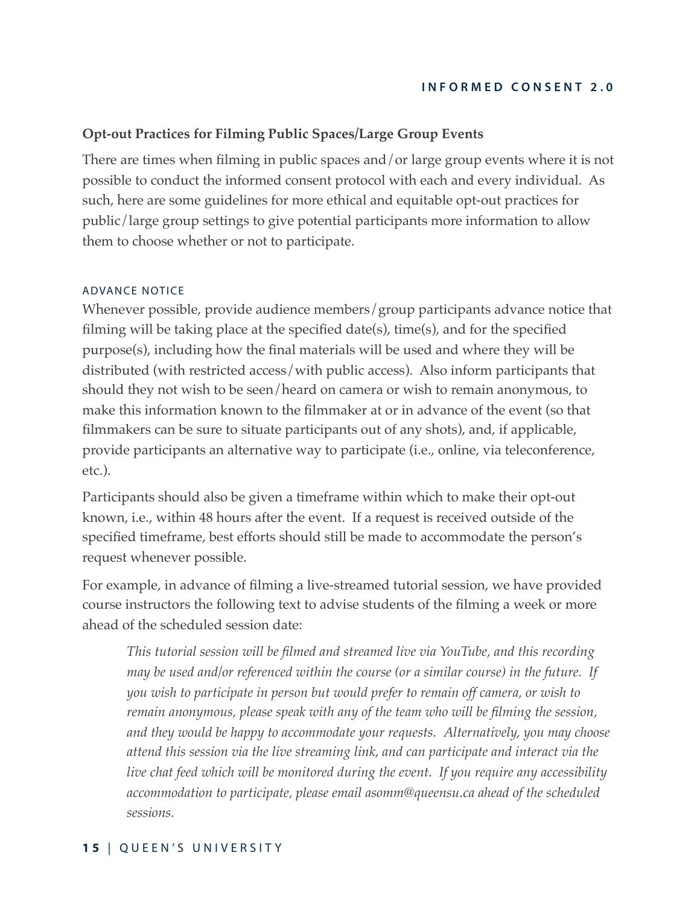# <span id="page-14-0"></span>**Opt-out Practices for Filming Public Spaces/Large Group Events**

There are times when filming in public spaces and/or large group events where it is not possible to conduct the informed consent protocol with each and every individual. As such, here are some guidelines for more ethical and equitable opt-out practices for public/large group settings to give potential participants more information to allow them to choose whether or not to participate.

#### ADVANCE NOTICE

Whenever possible, provide audience members/group participants advance notice that filming will be taking place at the specified date(s), time(s), and for the specified purpose(s), including how the final materials will be used and where they will be distributed (with restricted access/with public access). Also inform participants that should they not wish to be seen/heard on camera or wish to remain anonymous, to make this information known to the filmmaker at or in advance of the event (so that filmmakers can be sure to situate participants out of any shots), and, if applicable, provide participants an alternative way to participate (i.e., online, via teleconference, etc.).

Participants should also be given a timeframe within which to make their opt-out known, i.e., within 48 hours after the event. If a request is received outside of the specified timeframe, best efforts should still be made to accommodate the person's request whenever possible.

For example, in advance of filming a live-streamed tutorial session, we have provided course instructors the following text to advise students of the filming a week or more ahead of the scheduled session date:

*This tutorial session will be filmed and streamed live via YouTube, and this recording may be used and/or referenced within the course (or a similar course) in the future. If you wish to participate in person but would prefer to remain off camera, or wish to remain anonymous, please speak with any of the team who will be filming the session, and they would be happy to accommodate your requests. Alternatively, you may choose attend this session via the live streaming link, and can participate and interact via the live chat feed which will be monitored during the event. If you require any accessibility accommodation to participate, please email asomm@queensu.ca ahead of the scheduled sessions.*

#### **1 5** | QUEEN'S UNIVERSITY